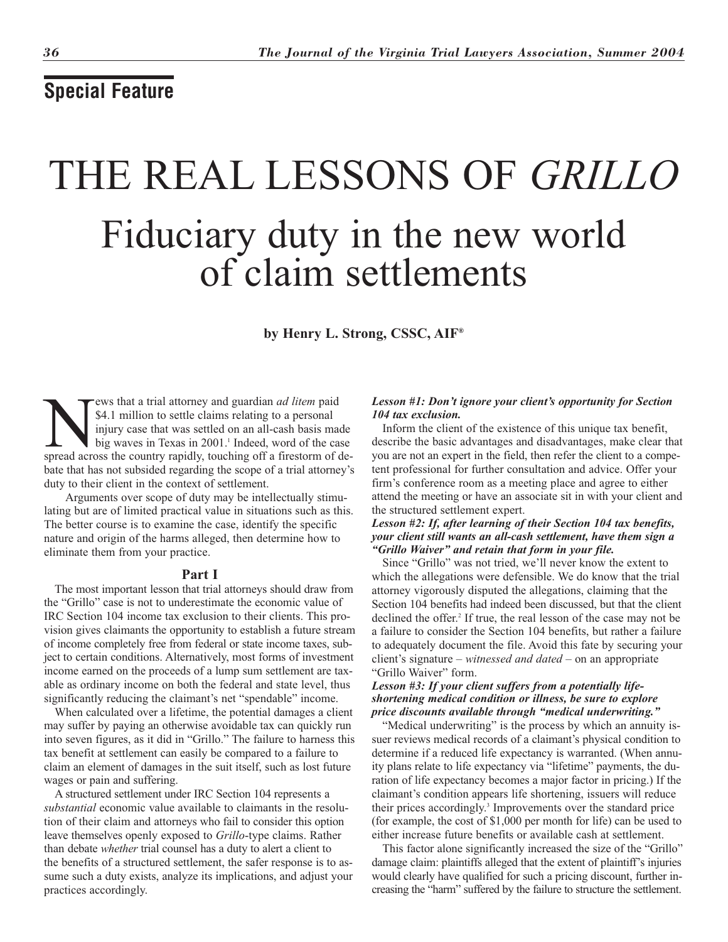# **Special Feature**

# THE REAL LESSONS OF *GRILLO* Fiduciary duty in the new world of claim settlements

**by Henry L. Strong, CSSC, AIF®**

**EXECUTE:** The spread across that a trial attorney and guardian *ad litem* paid injury case that was settled on an all-cash basis made big waves in Texas in 2001.<sup>1</sup> Indeed, word of the case spread across the country rapid \$4.1 million to settle claims relating to a personal injury case that was settled on an all-cash basis made big waves in Texas in 2001.<sup>1</sup> Indeed, word of the case bate that has not subsided regarding the scope of a trial attorney's duty to their client in the context of settlement.

Arguments over scope of duty may be intellectually stimulating but are of limited practical value in situations such as this. The better course is to examine the case, identify the specific nature and origin of the harms alleged, then determine how to eliminate them from your practice.

# **Part I**

The most important lesson that trial attorneys should draw from the "Grillo" case is not to underestimate the economic value of IRC Section 104 income tax exclusion to their clients. This provision gives claimants the opportunity to establish a future stream of income completely free from federal or state income taxes, subject to certain conditions. Alternatively, most forms of investment income earned on the proceeds of a lump sum settlement are taxable as ordinary income on both the federal and state level, thus significantly reducing the claimant's net "spendable" income.

When calculated over a lifetime, the potential damages a client may suffer by paying an otherwise avoidable tax can quickly run into seven figures, as it did in "Grillo." The failure to harness this tax benefit at settlement can easily be compared to a failure to claim an element of damages in the suit itself, such as lost future wages or pain and suffering.

A structured settlement under IRC Section 104 represents a *substantial* economic value available to claimants in the resolution of their claim and attorneys who fail to consider this option leave themselves openly exposed to *Grillo*-type claims. Rather than debate *whether* trial counsel has a duty to alert a client to the benefits of a structured settlement, the safer response is to assume such a duty exists, analyze its implications, and adjust your practices accordingly.

# *Lesson #1: Don't ignore your client's opportunity for Section 104 tax exclusion.*

Inform the client of the existence of this unique tax benefit, describe the basic advantages and disadvantages, make clear that you are not an expert in the field, then refer the client to a competent professional for further consultation and advice. Offer your firm's conference room as a meeting place and agree to either attend the meeting or have an associate sit in with your client and the structured settlement expert.

# *Lesson #2: If, after learning of their Section 104 tax benefits, your client still wants an all-cash settlement, have them sign a "Grillo Waiver" and retain that form in your file.*

Since "Grillo" was not tried, we'll never know the extent to which the allegations were defensible. We do know that the trial attorney vigorously disputed the allegations, claiming that the Section 104 benefits had indeed been discussed, but that the client declined the offer.<sup>2</sup> If true, the real lesson of the case may not be a failure to consider the Section 104 benefits, but rather a failure to adequately document the file. Avoid this fate by securing your client's signature – *witnessed and dated* – on an appropriate "Grillo Waiver" form.

# *Lesson #3: If your client suffers from a potentially lifeshortening medical condition or illness, be sure to explore price discounts available through "medical underwriting."*

"Medical underwriting" is the process by which an annuity issuer reviews medical records of a claimant's physical condition to determine if a reduced life expectancy is warranted. (When annuity plans relate to life expectancy via "lifetime" payments, the duration of life expectancy becomes a major factor in pricing.) If the claimant's condition appears life shortening, issuers will reduce their prices accordingly.3 Improvements over the standard price (for example, the cost of \$1,000 per month for life) can be used to either increase future benefits or available cash at settlement.

This factor alone significantly increased the size of the "Grillo" damage claim: plaintiffs alleged that the extent of plaintiff's injuries would clearly have qualified for such a pricing discount, further increasing the "harm" suffered by the failure to structure the settlement.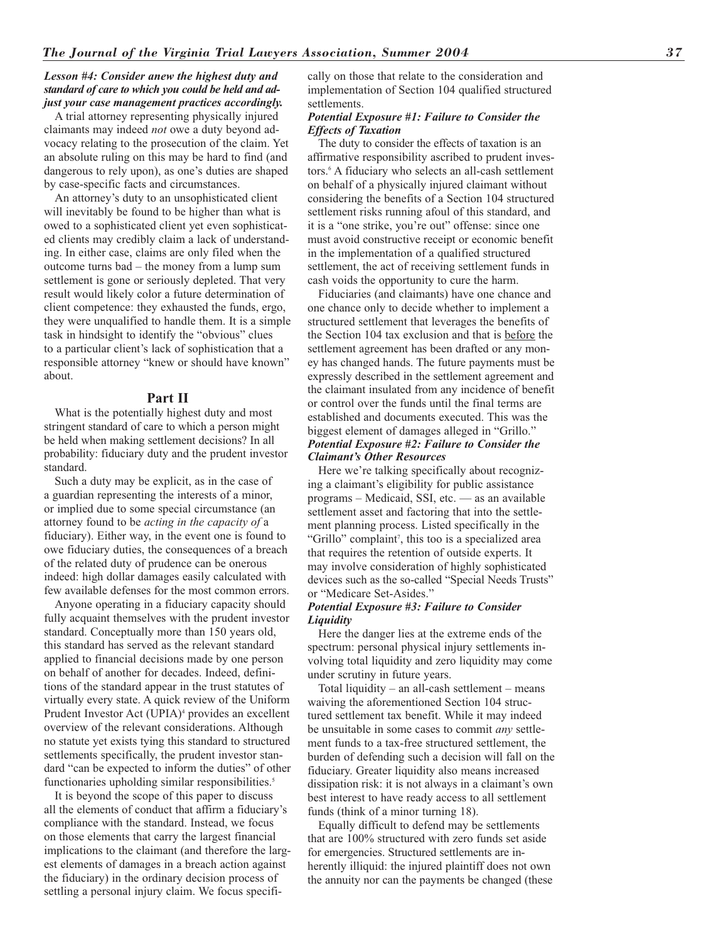# *Lesson #4: Consider anew the highest duty and standard of care to which you could be held and adjust your case management practices accordingly.*

A trial attorney representing physically injured claimants may indeed *not* owe a duty beyond advocacy relating to the prosecution of the claim. Yet an absolute ruling on this may be hard to find (and dangerous to rely upon), as one's duties are shaped by case-specific facts and circumstances.

An attorney's duty to an unsophisticated client will inevitably be found to be higher than what is owed to a sophisticated client yet even sophisticated clients may credibly claim a lack of understanding. In either case, claims are only filed when the outcome turns bad – the money from a lump sum settlement is gone or seriously depleted. That very result would likely color a future determination of client competence: they exhausted the funds, ergo, they were unqualified to handle them. It is a simple task in hindsight to identify the "obvious" clues to a particular client's lack of sophistication that a responsible attorney "knew or should have known" about.

# **Part II**

What is the potentially highest duty and most stringent standard of care to which a person might be held when making settlement decisions? In all probability: fiduciary duty and the prudent investor standard.

Such a duty may be explicit, as in the case of a guardian representing the interests of a minor, or implied due to some special circumstance (an attorney found to be *acting in the capacity of* a fiduciary). Either way, in the event one is found to owe fiduciary duties, the consequences of a breach of the related duty of prudence can be onerous indeed: high dollar damages easily calculated with few available defenses for the most common errors.

Anyone operating in a fiduciary capacity should fully acquaint themselves with the prudent investor standard. Conceptually more than 150 years old, this standard has served as the relevant standard applied to financial decisions made by one person on behalf of another for decades. Indeed, definitions of the standard appear in the trust statutes of virtually every state. A quick review of the Uniform Prudent Investor Act (UPIA)<sup>4</sup> provides an excellent overview of the relevant considerations. Although no statute yet exists tying this standard to structured settlements specifically, the prudent investor standard "can be expected to inform the duties" of other functionaries upholding similar responsibilities.<sup>5</sup>

It is beyond the scope of this paper to discuss all the elements of conduct that affirm a fiduciary's compliance with the standard. Instead, we focus on those elements that carry the largest financial implications to the claimant (and therefore the largest elements of damages in a breach action against the fiduciary) in the ordinary decision process of settling a personal injury claim. We focus specifically on those that relate to the consideration and implementation of Section 104 qualified structured settlements.

# *Potential Exposure #1: Failure to Consider the Effects of Taxation*

The duty to consider the effects of taxation is an affirmative responsibility ascribed to prudent investors.6 A fiduciary who selects an all-cash settlement on behalf of a physically injured claimant without considering the benefits of a Section 104 structured settlement risks running afoul of this standard, and it is a "one strike, you're out" offense: since one must avoid constructive receipt or economic benefit in the implementation of a qualified structured settlement, the act of receiving settlement funds in cash voids the opportunity to cure the harm.

Fiduciaries (and claimants) have one chance and one chance only to decide whether to implement a structured settlement that leverages the benefits of the Section 104 tax exclusion and that is before the settlement agreement has been drafted or any money has changed hands. The future payments must be expressly described in the settlement agreement and the claimant insulated from any incidence of benefit or control over the funds until the final terms are established and documents executed. This was the biggest element of damages alleged in "Grillo." *Potential Exposure #2: Failure to Consider the Claimant's Other Resources*

Here we're talking specifically about recognizing a claimant's eligibility for public assistance programs – Medicaid, SSI, etc. — as an available settlement asset and factoring that into the settlement planning process. Listed specifically in the "Grillo" complaint<sup>7</sup>, this too is a specialized area that requires the retention of outside experts. It may involve consideration of highly sophisticated devices such as the so-called "Special Needs Trusts" or "Medicare Set-Asides."

# *Potential Exposure #3: Failure to Consider Liquidity*

Here the danger lies at the extreme ends of the spectrum: personal physical injury settlements involving total liquidity and zero liquidity may come under scrutiny in future years.

Total liquidity – an all-cash settlement – means waiving the aforementioned Section 104 structured settlement tax benefit. While it may indeed be unsuitable in some cases to commit *any* settlement funds to a tax-free structured settlement, the burden of defending such a decision will fall on the fiduciary. Greater liquidity also means increased dissipation risk: it is not always in a claimant's own best interest to have ready access to all settlement funds (think of a minor turning 18).

Equally difficult to defend may be settlements that are 100% structured with zero funds set aside for emergencies. Structured settlements are inherently illiquid: the injured plaintiff does not own the annuity nor can the payments be changed (these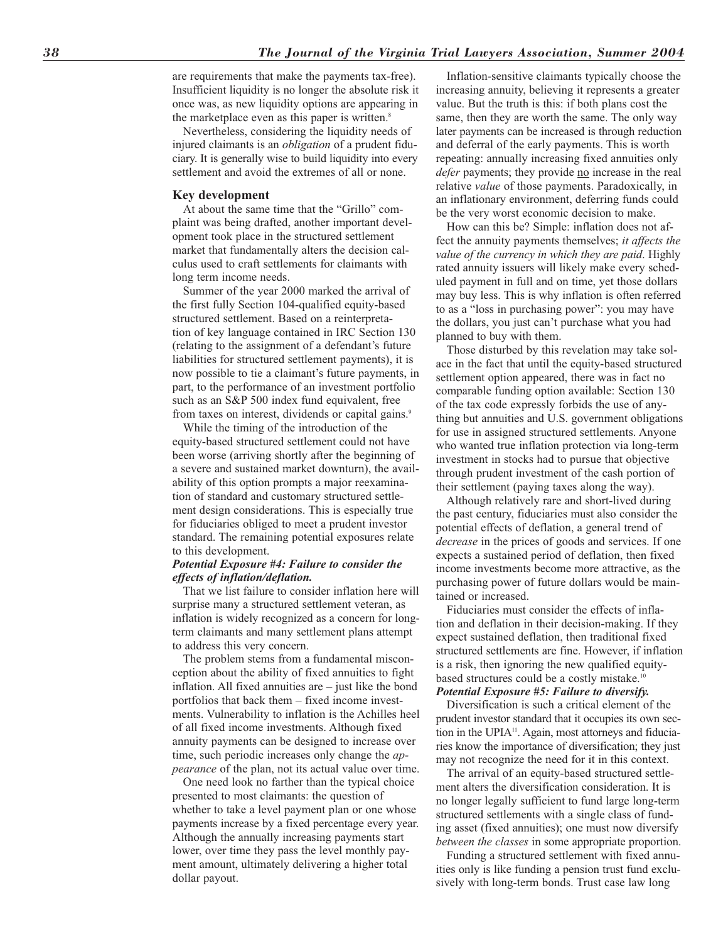are requirements that make the payments tax-free). Insufficient liquidity is no longer the absolute risk it once was, as new liquidity options are appearing in the marketplace even as this paper is written.<sup>8</sup>

Nevertheless, considering the liquidity needs of injured claimants is an *obligation* of a prudent fiduciary. It is generally wise to build liquidity into every settlement and avoid the extremes of all or none.

#### **Key development**

At about the same time that the "Grillo" complaint was being drafted, another important development took place in the structured settlement market that fundamentally alters the decision calculus used to craft settlements for claimants with long term income needs.

Summer of the year 2000 marked the arrival of the first fully Section 104-qualified equity-based structured settlement. Based on a reinterpretation of key language contained in IRC Section 130 (relating to the assignment of a defendant's future liabilities for structured settlement payments), it is now possible to tie a claimant's future payments, in part, to the performance of an investment portfolio such as an S&P 500 index fund equivalent, free from taxes on interest, dividends or capital gains.<sup>9</sup>

While the timing of the introduction of the equity-based structured settlement could not have been worse (arriving shortly after the beginning of a severe and sustained market downturn), the availability of this option prompts a major reexamination of standard and customary structured settlement design considerations. This is especially true for fiduciaries obliged to meet a prudent investor standard. The remaining potential exposures relate to this development.

### *Potential Exposure #4: Failure to consider the effects of inflation/deflation.*

That we list failure to consider inflation here will surprise many a structured settlement veteran, as inflation is widely recognized as a concern for longterm claimants and many settlement plans attempt to address this very concern.

The problem stems from a fundamental misconception about the ability of fixed annuities to fight inflation. All fixed annuities are – just like the bond portfolios that back them – fixed income investments. Vulnerability to inflation is the Achilles heel of all fixed income investments. Although fixed annuity payments can be designed to increase over time, such periodic increases only change the *appearance* of the plan, not its actual value over time.

One need look no farther than the typical choice presented to most claimants: the question of whether to take a level payment plan or one whose payments increase by a fixed percentage every year. Although the annually increasing payments start lower, over time they pass the level monthly payment amount, ultimately delivering a higher total dollar payout.

Inflation-sensitive claimants typically choose the increasing annuity, believing it represents a greater value. But the truth is this: if both plans cost the same, then they are worth the same. The only way later payments can be increased is through reduction and deferral of the early payments. This is worth repeating: annually increasing fixed annuities only *defer* payments; they provide no increase in the real relative *value* of those payments. Paradoxically, in an inflationary environment, deferring funds could be the very worst economic decision to make.

How can this be? Simple: inflation does not affect the annuity payments themselves; *it affects the value of the currency in which they are paid*. Highly rated annuity issuers will likely make every scheduled payment in full and on time, yet those dollars may buy less. This is why inflation is often referred to as a "loss in purchasing power": you may have the dollars, you just can't purchase what you had planned to buy with them.

Those disturbed by this revelation may take solace in the fact that until the equity-based structured settlement option appeared, there was in fact no comparable funding option available: Section 130 of the tax code expressly forbids the use of anything but annuities and U.S. government obligations for use in assigned structured settlements. Anyone who wanted true inflation protection via long-term investment in stocks had to pursue that objective through prudent investment of the cash portion of their settlement (paying taxes along the way).

Although relatively rare and short-lived during the past century, fiduciaries must also consider the potential effects of deflation, a general trend of *decrease* in the prices of goods and services. If one expects a sustained period of deflation, then fixed income investments become more attractive, as the purchasing power of future dollars would be maintained or increased.

Fiduciaries must consider the effects of inflation and deflation in their decision-making. If they expect sustained deflation, then traditional fixed structured settlements are fine. However, if inflation is a risk, then ignoring the new qualified equitybased structures could be a costly mistake.<sup>10</sup> *Potential Exposure #5: Failure to diversify.*

Diversification is such a critical element of the prudent investor standard that it occupies its own section in the UPIA<sup>11</sup>. Again, most attorneys and fiduciaries know the importance of diversification; they just may not recognize the need for it in this context.

The arrival of an equity-based structured settlement alters the diversification consideration. It is no longer legally sufficient to fund large long-term structured settlements with a single class of funding asset (fixed annuities); one must now diversify *between the classes* in some appropriate proportion.

Funding a structured settlement with fixed annuities only is like funding a pension trust fund exclusively with long-term bonds. Trust case law long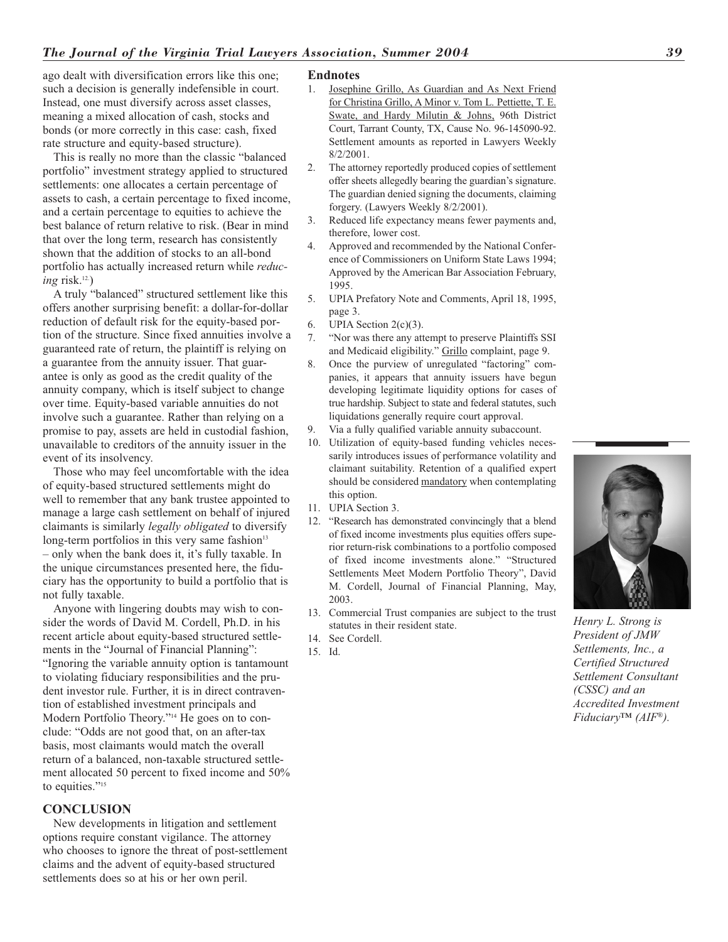ago dealt with diversification errors like this one; such a decision is generally indefensible in court. Instead, one must diversify across asset classes, meaning a mixed allocation of cash, stocks and bonds (or more correctly in this case: cash, fixed rate structure and equity-based structure).

This is really no more than the classic "balanced portfolio" investment strategy applied to structured settlements: one allocates a certain percentage of assets to cash, a certain percentage to fixed income, and a certain percentage to equities to achieve the best balance of return relative to risk. (Bear in mind that over the long term, research has consistently shown that the addition of stocks to an all-bond portfolio has actually increased return while *reducing* risk.<sup>12.</sup>)

A truly "balanced" structured settlement like this offers another surprising benefit: a dollar-for-dollar reduction of default risk for the equity-based portion of the structure. Since fixed annuities involve a guaranteed rate of return, the plaintiff is relying on a guarantee from the annuity issuer. That guarantee is only as good as the credit quality of the annuity company, which is itself subject to change over time. Equity-based variable annuities do not involve such a guarantee. Rather than relying on a promise to pay, assets are held in custodial fashion, unavailable to creditors of the annuity issuer in the event of its insolvency.

Those who may feel uncomfortable with the idea of equity-based structured settlements might do well to remember that any bank trustee appointed to manage a large cash settlement on behalf of injured claimants is similarly *legally obligated* to diversify long-term portfolios in this very same fashion<sup>13</sup> – only when the bank does it, it's fully taxable. In the unique circumstances presented here, the fiduciary has the opportunity to build a portfolio that is not fully taxable.

Anyone with lingering doubts may wish to consider the words of David M. Cordell, Ph.D. in his recent article about equity-based structured settlements in the "Journal of Financial Planning": "Ignoring the variable annuity option is tantamount to violating fiduciary responsibilities and the prudent investor rule. Further, it is in direct contravention of established investment principals and Modern Portfolio Theory."14 He goes on to conclude: "Odds are not good that, on an after-tax basis, most claimants would match the overall return of a balanced, non-taxable structured settlement allocated 50 percent to fixed income and 50% to equities."<sup>15</sup>

#### **CONCLUSION**

New developments in litigation and settlement options require constant vigilance. The attorney who chooses to ignore the threat of post-settlement claims and the advent of equity-based structured settlements does so at his or her own peril.

#### **Endnotes**

- 1. Josephine Grillo, As Guardian and As Next Friend for Christina Grillo, A Minor v. Tom L. Pettiette, T. E. Swate, and Hardy Milutin & Johns, 96th District Court, Tarrant County, TX, Cause No. 96-145090-92. Settlement amounts as reported in Lawyers Weekly 8/2/2001.
- 2. The attorney reportedly produced copies of settlement offer sheets allegedly bearing the guardian's signature. The guardian denied signing the documents, claiming forgery. (Lawyers Weekly 8/2/2001).
- 3. Reduced life expectancy means fewer payments and, therefore, lower cost.
- 4. Approved and recommended by the National Conference of Commissioners on Uniform State Laws 1994; Approved by the American Bar Association February, 1995.
- 5. UPIA Prefatory Note and Comments, April 18, 1995, page 3.
- 6. UPIA Section  $2(c)(3)$ .
- 7. "Nor was there any attempt to preserve Plaintiffs SSI and Medicaid eligibility." Grillo complaint, page 9.
- 8. Once the purview of unregulated "factoring" companies, it appears that annuity issuers have begun developing legitimate liquidity options for cases of true hardship. Subject to state and federal statutes, such liquidations generally require court approval.
- 9. Via a fully qualified variable annuity subaccount.
- 10. Utilization of equity-based funding vehicles necessarily introduces issues of performance volatility and claimant suitability. Retention of a qualified expert should be considered mandatory when contemplating this option.
- 11. UPIA Section 3.
- 12. "Research has demonstrated convincingly that a blend of fixed income investments plus equities offers superior return-risk combinations to a portfolio composed of fixed income investments alone." "Structured Settlements Meet Modern Portfolio Theory", David M. Cordell, Journal of Financial Planning, May, 2003.
- 13. Commercial Trust companies are subject to the trust statutes in their resident state.
- 14. See Cordell.
- 15. Id.



*Henry L. Strong is President of JMW Settlements, Inc., a Certified Structured Settlement Consultant (CSSC) and an Accredited Investment Fiduciary™ (AIF®).*